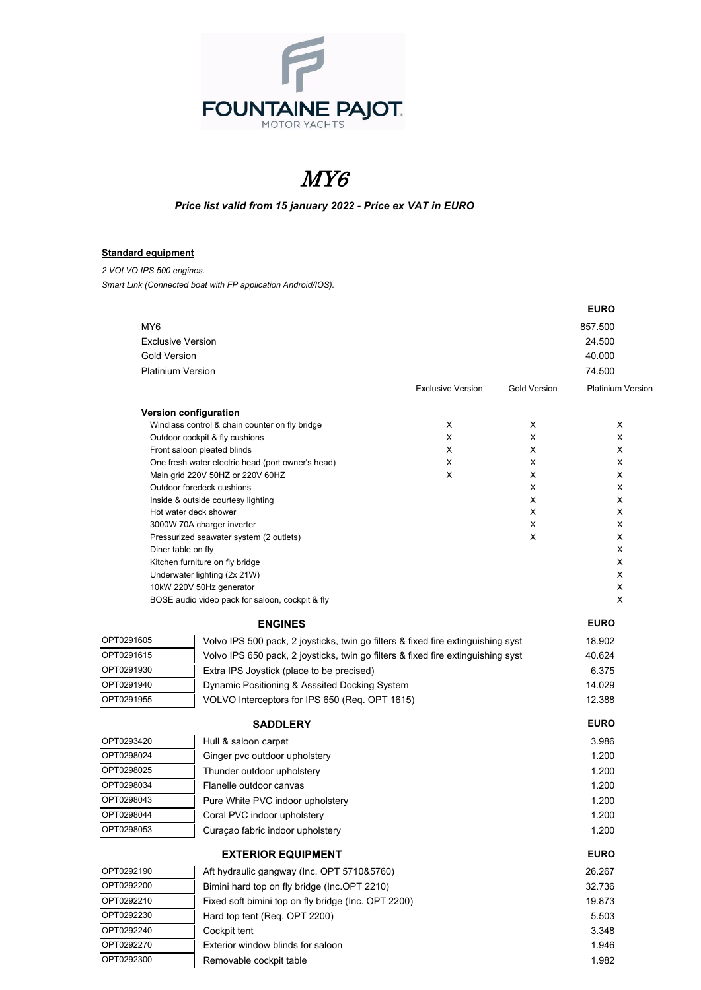

## MY6

## *Price list valid from 15 january 2022 - Price ex VAT in EURO*

## **Standard equipment**

*2 VOLVO IPS 500 engines. Smart Link (Connected boat with FP application Android/IOS).*

|                          |                                                                                       |                          |                     | <b>EURO</b>              |
|--------------------------|---------------------------------------------------------------------------------------|--------------------------|---------------------|--------------------------|
| MY <sub>6</sub>          |                                                                                       |                          |                     | 857.500                  |
|                          | <b>Exclusive Version</b>                                                              |                          |                     | 24.500                   |
| <b>Gold Version</b>      |                                                                                       |                          |                     | 40.000                   |
| <b>Platinium Version</b> |                                                                                       |                          |                     | 74.500                   |
|                          |                                                                                       | <b>Exclusive Version</b> | <b>Gold Version</b> | <b>Platinium Versior</b> |
|                          | <b>Version configuration</b>                                                          |                          |                     |                          |
|                          | Windlass control & chain counter on fly bridge                                        | Χ                        | х                   | X                        |
|                          | Outdoor cockpit & fly cushions                                                        | X                        | X                   | X                        |
|                          | Front saloon pleated blinds                                                           | X                        | Х                   | Х                        |
|                          | One fresh water electric head (port owner's head)<br>Main grid 220V 50HZ or 220V 60HZ | X<br>X                   | Х<br>X              | Х<br>X                   |
|                          | Outdoor foredeck cushions                                                             |                          | X                   | X                        |
|                          | Inside & outside courtesy lighting                                                    |                          | X                   | X                        |
|                          | Hot water deck shower                                                                 |                          | X                   | X                        |
|                          | 3000W 70A charger inverter                                                            |                          | X                   | X                        |
|                          | Pressurized seawater system (2 outlets)                                               |                          | X                   | X                        |
|                          | Diner table on fly                                                                    |                          |                     | X                        |
|                          | Kitchen furniture on fly bridge                                                       |                          |                     | х                        |
|                          | Underwater lighting (2x 21W)                                                          |                          |                     | X                        |
|                          | 10kW 220V 50Hz generator                                                              |                          |                     | X<br>х                   |
|                          | BOSE audio video pack for saloon, cockpit & fly                                       |                          |                     |                          |
|                          | <b>ENGINES</b>                                                                        |                          |                     | <b>EURO</b>              |
| OPT0291605               | Volvo IPS 500 pack, 2 joysticks, twin go filters & fixed fire extinguishing syst      |                          |                     | 18.902                   |
| OPT0291615               | Volvo IPS 650 pack, 2 joysticks, twin go filters & fixed fire extinguishing syst      |                          |                     | 40.624                   |
| OPT0291930               | Extra IPS Joystick (place to be precised)                                             |                          |                     | 6.375                    |
| OPT0291940               | Dynamic Positioning & Asssited Docking System                                         |                          |                     | 14.029                   |
| OPT0291955               | VOLVO Interceptors for IPS 650 (Req. OPT 1615)                                        |                          |                     | 12.388                   |
|                          | <b>SADDLERY</b>                                                                       |                          |                     | <b>EURO</b>              |
| OPT0293420               | Hull & saloon carpet                                                                  |                          |                     | 3.986                    |
| OPT0298024               | Ginger pvc outdoor upholstery                                                         |                          |                     | 1.200                    |
| OPT0298025               | Thunder outdoor upholstery                                                            |                          |                     | 1.200                    |
| OPT0298034               | Flanelle outdoor canvas                                                               |                          |                     | 1.200                    |
| OPT0298043               | Pure White PVC indoor upholstery                                                      |                          |                     | 1.200                    |
| OPT0298044               | Coral PVC indoor upholstery                                                           |                          |                     | 1.200                    |
| OPT0298053               | Curaçao fabric indoor upholstery                                                      |                          |                     | 1.200                    |
|                          |                                                                                       |                          |                     |                          |
|                          | <b>EXTERIOR EQUIPMENT</b>                                                             |                          |                     | <b>EURO</b>              |
| OPT0292190               | Aft hydraulic gangway (Inc. OPT 5710&5760)                                            |                          |                     | 26.267                   |
| OPT0292200               | Bimini hard top on fly bridge (Inc.OPT 2210)                                          |                          |                     | 32.736                   |
| OPT0292210               | Fixed soft bimini top on fly bridge (Inc. OPT 2200)                                   |                          |                     | 19.873                   |
| OPT0292230               | Hard top tent (Req. OPT 2200)                                                         |                          |                     | 5.503                    |
| OPT0292240               | Cockpit tent                                                                          |                          |                     | 3.348                    |
| OPT0292270               | Exterior window blinds for saloon                                                     |                          |                     | 1.946                    |
| OPT0292300               | Removable cockpit table                                                               |                          |                     | 1.982                    |
|                          |                                                                                       |                          |                     |                          |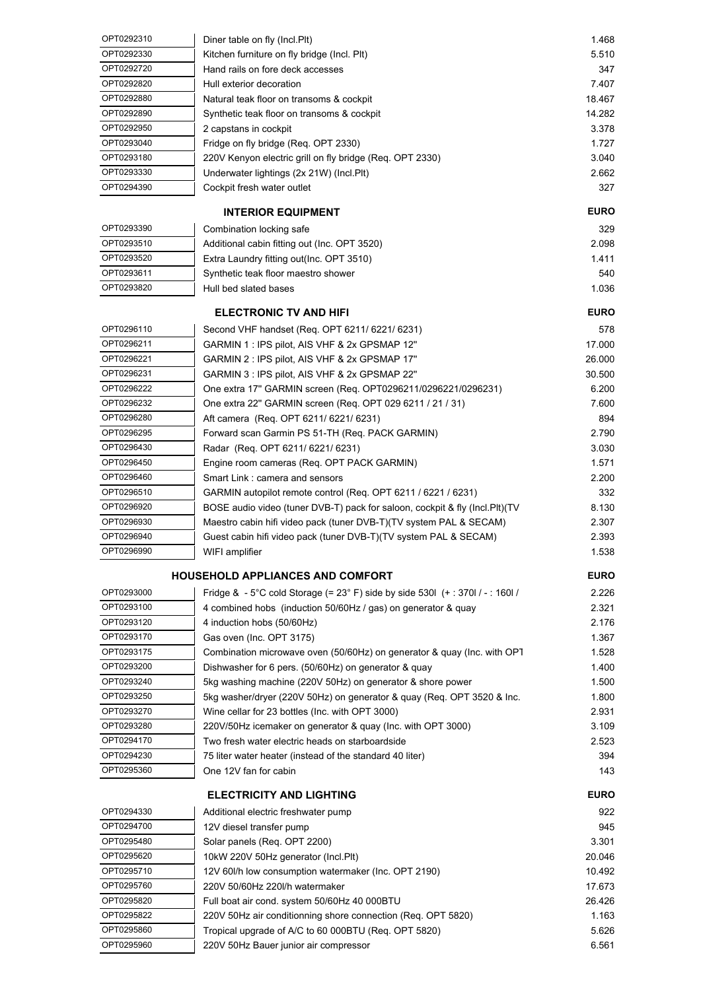| OPT0292310 | Diner table on fly (Incl.Plt)                                                           | 1.468          |
|------------|-----------------------------------------------------------------------------------------|----------------|
| OPT0292330 | Kitchen furniture on fly bridge (Incl. Plt)                                             | 5.510          |
| OPT0292720 | Hand rails on fore deck accesses                                                        | 347            |
| OPT0292820 | Hull exterior decoration                                                                | 7.407          |
| OPT0292880 | Natural teak floor on transoms & cockpit                                                | 18.467         |
| OPT0292890 | Synthetic teak floor on transoms & cockpit                                              | 14.282         |
| OPT0292950 | 2 capstans in cockpit                                                                   | 3.378          |
| OPT0293040 | Fridge on fly bridge (Req. OPT 2330)                                                    | 1.727          |
| OPT0293180 | 220V Kenyon electric grill on fly bridge (Req. OPT 2330)                                | 3.040          |
| OPT0293330 | Underwater lightings (2x 21W) (Incl.Plt)                                                | 2.662          |
| OPT0294390 | Cockpit fresh water outlet                                                              | 327            |
|            |                                                                                         |                |
|            | <b>INTERIOR EQUIPMENT</b>                                                               | <b>EURO</b>    |
| OPT0293390 | Combination locking safe                                                                | 329            |
| OPT0293510 | Additional cabin fitting out (Inc. OPT 3520)                                            | 2.098          |
| OPT0293520 | Extra Laundry fitting out(Inc. OPT 3510)                                                | 1.411          |
| OPT0293611 | Synthetic teak floor maestro shower                                                     | 540            |
| OPT0293820 | Hull bed slated bases                                                                   | 1.036          |
|            | <b>ELECTRONIC TV AND HIFI</b>                                                           | <b>EURO</b>    |
|            |                                                                                         |                |
| OPT0296110 | Second VHF handset (Req. OPT 6211/ 6221/ 6231)                                          | 578            |
| OPT0296211 | GARMIN 1 : IPS pilot, AIS VHF & 2x GPSMAP 12"                                           | 17.000         |
| OPT0296221 | GARMIN 2 : IPS pilot, AIS VHF & 2x GPSMAP 17"                                           | 26.000         |
| OPT0296231 | GARMIN 3 : IPS pilot, AIS VHF & 2x GPSMAP 22"                                           | 30.500         |
| OPT0296222 | One extra 17" GARMIN screen (Req. OPT0296211/0296221/0296231)                           | 6.200          |
| OPT0296232 | One extra 22" GARMIN screen (Req. OPT 029 6211 / 21 / 31)                               | 7.600          |
| OPT0296280 | Aft camera (Req. OPT 6211/6221/6231)                                                    | 894            |
| OPT0296295 | Forward scan Garmin PS 51-TH (Req. PACK GARMIN)                                         | 2.790          |
| OPT0296430 | Radar (Req. OPT 6211/6221/6231)                                                         | 3.030          |
| OPT0296450 | Engine room cameras (Req. OPT PACK GARMIN)                                              | 1.571          |
| OPT0296460 | Smart Link : camera and sensors                                                         | 2.200          |
| OPT0296510 | GARMIN autopilot remote control (Req. OPT 6211 / 6221 / 6231)                           | 332            |
| OPT0296920 | BOSE audio video (tuner DVB-T) pack for saloon, cockpit & fly (Incl.Plt) (TV            | 8.130          |
| OPT0296930 | Maestro cabin hifi video pack (tuner DVB-T)(TV system PAL & SECAM)                      | 2.307          |
| OPT0296940 | Guest cabin hifi video pack (tuner DVB-T)(TV system PAL & SECAM)                        | 2.393          |
| OPT0296990 | WIFI amplifier                                                                          | 1.538          |
|            | <b>HOUSEHOLD APPLIANCES AND COMFORT</b>                                                 | <b>EURO</b>    |
| OPT0293000 |                                                                                         |                |
| OPT0293100 | Fridge & - 5°C cold Storage (= $23^{\circ}$ F) side by side 530l (+ : 370l / - : 160l / | 2.226          |
| OPT0293120 | 4 combined hobs (induction 50/60Hz / gas) on generator & quay                           | 2.321          |
| OPT0293170 | 4 induction hobs (50/60Hz)                                                              | 2.176<br>1.367 |
| OPT0293175 | Gas oven (Inc. OPT 3175)                                                                |                |
| OPT0293200 | Combination microwave oven (50/60Hz) on generator & quay (Inc. with OPT                 | 1.528          |
|            | Dishwasher for 6 pers. (50/60Hz) on generator & quay                                    | 1.400          |
| OPT0293240 | 5kg washing machine (220V 50Hz) on generator & shore power                              | 1.500          |
| OPT0293250 | 5kg washer/dryer (220V 50Hz) on generator & quay (Req. OPT 3520 & Inc.                  | 1.800          |
| OPT0293270 | Wine cellar for 23 bottles (Inc. with OPT 3000)                                         | 2.931          |
| OPT0293280 | 220V/50Hz icemaker on generator & quay (Inc. with OPT 3000)                             | 3.109          |
| OPT0294170 | Two fresh water electric heads on starboardside                                         | 2.523          |
| OPT0294230 | 75 liter water heater (instead of the standard 40 liter)                                | 394            |
| OPT0295360 | One 12V fan for cabin                                                                   | 143            |
|            | <b>ELECTRICITY AND LIGHTING</b>                                                         | <b>EURO</b>    |
| OPT0294330 | Additional electric freshwater pump                                                     | 922            |
| OPT0294700 | 12V diesel transfer pump                                                                | 945            |
| OPT0295480 | Solar panels (Req. OPT 2200)                                                            | 3.301          |
| OPT0295620 | 10kW 220V 50Hz generator (Incl.Plt)                                                     | 20.046         |
| OPT0295710 | 12V 60I/h low consumption watermaker (Inc. OPT 2190)                                    | 10.492         |
| OPT0295760 | 220V 50/60Hz 220I/h watermaker                                                          | 17.673         |
| OPT0295820 | Full boat air cond. system 50/60Hz 40 000BTU                                            | 26.426         |
| OPT0295822 | 220V 50Hz air conditionning shore connection (Req. OPT 5820)                            | 1.163          |
| OPT0295860 | Tropical upgrade of A/C to 60 000BTU (Req. OPT 5820)                                    | 5.626          |
| OPT0295960 | 220V 50Hz Bauer junior air compressor                                                   | 6.561          |
|            |                                                                                         |                |